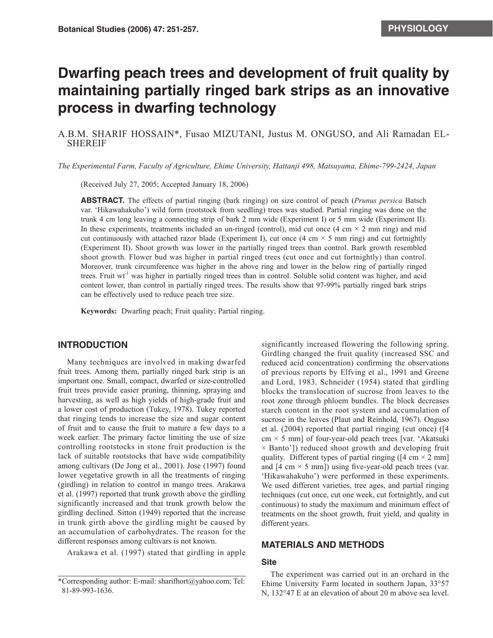# **Dwarfing peach trees and development of fruit quality by maintaining partially ringed bark strips as an innovative process in dwarfing technology**

A.B.M. SHARIF HOSSAIN\*, Fusao MIZUTANI, Justus M. ONGUSO, and Ali Ramadan EL-SHEREIF

*The Experimental Farm, Faculty of Agriculture, Ehime University, Hattanji 498, Matsuyama, Ehime-799-2424, Japan*

(Received July 27, 2005; Accepted January 18, 2006)

**ABSTRACT.** The effects of partial ringing (bark ringing) on size control of peach (*Prunus persica* Batsch var. 'Hikawahakuho') wild form (rootstock from seedling) trees was studied. Partial ringing was done on the trunk 4 cm long leaving a connecting strip of bark 2 mm wide (Experiment I) or 5 mm wide (Experiment II). In these experiments, treatments included an un-ringed (control), mid cut once  $(4 \text{ cm} \times 2 \text{ mm ring})$  and mid cut continuously with attached razor blade (Experiment I), cut once (4 cm  $\times$  5 mm ring) and cut fortnightly (Experiment II). Shoot growth was lower in the partially ringed trees than control. Bark growth resembled shoot growth. Flower bud was higher in partial ringed trees (cut once and cut fortnightly) than control. Moreover, trunk circumference was higher in the above ring and lower in the below ring of partially ringed trees. Fruit wt<sup>-1</sup> was higher in partially ringed trees than in control. Soluble solid content was higher, and acid content lower, than control in partially ringed trees. The results show that 97-99% partially ringed bark strips can be effectively used to reduce peach tree size.

**Keywords:** Dwarfing peach; Fruit quality; Partial ringing.

## **INTRODUCTION**

Many techniques are involved in making dwarfed fruit trees. Among them, partially ringed bark strip is an important one. Small, compact, dwarfed or size-controlled fruit trees provide easier pruning, thinning, spraying and harvesting, as well as high yields of high-grade fruit and a lower cost of production (Tukey, 1978). Tukey reported that ringing tends to increase the size and sugar content of fruit and to cause the fruit to mature a few days to a week earlier. The primary factor limiting the use of size controlling rootstocks in stone fruit production is the lack of suitable rootstocks that have wide compatibility among cultivars (De Jong et al., 2001). Jose (1997) found lower vegetative growth in all the treatments of ringing (girdling) in relation to control in mango trees. Arakawa et al. (1997) reported that trunk growth above the girdling significantly increased and that trunk growth below the girdling declined. Sitton (1949) reported that the increase in trunk girth above the girdling might be caused by an accumulation of carbohydrates. The reason for the different responses among cultivars is not known.

Arakawa et al. (1997) stated that girdling in apple

significantly increased flowering the following spring. Girdling changed the fruit quality (increased SSC and reduced acid concentration) confirming the observations of previous reports by Elfving et al., 1991 and Greene and Lord, 1983. Schneider (1954) stated that girdling blocks the translocation of sucrose from leaves to the root zone through phloem bundles. The block decreases starch content in the root system and accumulation of sucrose in the leaves (Plaut and Reinhold, 1967). Onguso et al. (2004) reported that partial ringing (cut once) ([4  $cm \times 5$  mm] of four-year-old peach trees [var. 'Akatsuki  $\times$  Banto']) reduced shoot growth and developing fruit quality. Different types of partial ringing ( $[4 \text{ cm} \times 2 \text{ mm}]$ ) and  $[4 \text{ cm} \times 5 \text{ mm}]$ ) using five-year-old peach trees (var. 'Hikawahakuho') were performed in these experiments. We used different varieties, tree ages, and partial ringing techniques (cut once, cut one week, cut fortnightly, and cut continuous) to study the maximum and minimum effect of treatments on the shoot growth, fruit yield, and quality in different years.

## **MATERIALS AND METHODS**

### **Site**

The experiment was carried out in an orchard in the Ehime University Farm located in southern Japan, 33°57 N, 132°47 E at an elevation of about 20 m above sea level.

<sup>\*</sup>Corresponding author: E-mail: sharifhort@yahoo.com; Tel: 81-89-993-1636.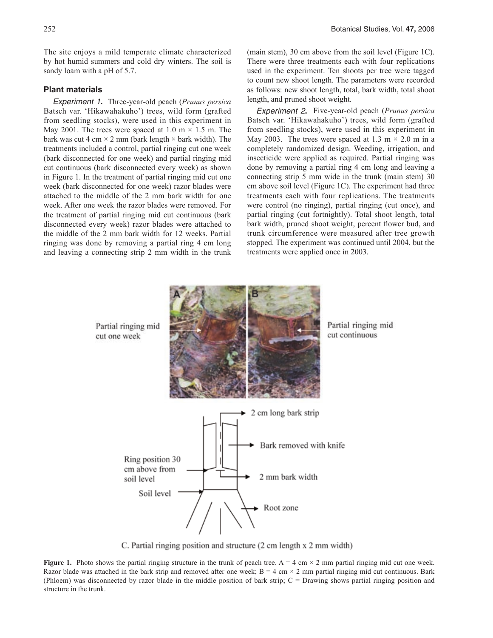The site enjoys a mild temperate climate characterized by hot humid summers and cold dry winters. The soil is sandy loam with a pH of 5.7.

### **Plant materials**

*Experiment 1***.** Three-year-old peach (*Prunus persica* Batsch var. 'Hikawahakuho') trees, wild form (grafted from seedling stocks), were used in this experiment in May 2001. The trees were spaced at 1.0 m  $\times$  1.5 m. The bark was cut 4 cm  $\times$  2 mm (bark length  $\times$  bark width). The treatments included a control, partial ringing cut one week (bark disconnected for one week) and partial ringing mid cut continuous (bark disconnected every week) as shown in Figure 1. In the treatment of partial ringing mid cut one week (bark disconnected for one week) razor blades were attached to the middle of the 2 mm bark width for one week. After one week the razor blades were removed. For the treatment of partial ringing mid cut continuous (bark disconnected every week) razor blades were attached to the middle of the 2 mm bark width for 12 weeks. Partial ringing was done by removing a partial ring 4 cm long and leaving a connecting strip 2 mm width in the trunk (main stem), 30 cm above from the soil level (Figure 1C). There were three treatments each with four replications used in the experiment. Ten shoots per tree were tagged to count new shoot length. The parameters were recorded as follows: new shoot length, total, bark width, total shoot length, and pruned shoot weight.

*Experiment 2***.** Five-year-old peach (*Prunus persica* Batsch var. 'Hikawahakuho') trees, wild form (grafted from seedling stocks), were used in this experiment in May 2003. The trees were spaced at 1.3 m  $\times$  2.0 m in a completely randomized design. Weeding, irrigation, and insecticide were applied as required. Partial ringing was done by removing a partial ring 4 cm long and leaving a connecting strip 5 mm wide in the trunk (main stem) 30 cm above soil level (Figure 1C). The experiment had three treatments each with four replications. The treatments were control (no ringing), partial ringing (cut once), and partial ringing (cut fortnightly). Total shoot length, total bark width, pruned shoot weight, percent flower bud, and trunk circumference were measured after tree growth stopped. The experiment was continued until 2004, but the treatments were applied once in 2003.



C. Partial ringing position and structure (2 cm length x 2 mm width)

**Figure 1.** Photo shows the partial ringing structure in the trunk of peach tree.  $A = 4$  cm  $\times$  2 mm partial ringing mid cut one week. Razor blade was attached in the bark strip and removed after one week;  $B = 4$  cm  $\times$  2 mm partial ringing mid cut continuous. Bark (Phloem) was disconnected by razor blade in the middle position of bark strip; C = Drawing shows partial ringing position and structure in the trunk.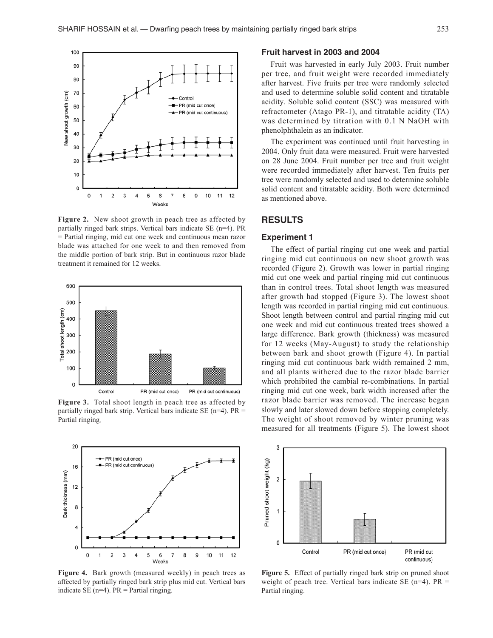

**Figure 2.** New shoot growth in peach tree as affected by partially ringed bark strips. Vertical bars indicate SE (n=4). PR = Partial ringing, mid cut one week and continuous mean razor blade was attached for one week to and then removed from the middle portion of bark strip. But in continuous razor blade treatment it remained for 12 weeks.



**Figure 3.** Total shoot length in peach tree as affected by partially ringed bark strip. Vertical bars indicate SE (n=4).  $PR =$ Partial ringing.



**Figure 4.** Bark growth (measured weekly) in peach trees as affected by partially ringed bark strip plus mid cut. Vertical bars indicate SE ( $n=4$ ). PR = Partial ringing.

#### **Fruit harvest in 2003 and 2004**

Fruit was harvested in early July 2003. Fruit number per tree, and fruit weight were recorded immediately after harvest. Five fruits per tree were randomly selected and used to determine soluble solid content and titratable acidity. Soluble solid content (SSC) was measured with refractometer (Atago PR-1), and titratable acidity (TA) was determined by titration with 0.1 N NaOH with phenolphthalein as an indicator.

The experiment was continued until fruit harvesting in 2004. Only fruit data were measured. Fruit were harvested on 28 June 2004. Fruit number per tree and fruit weight were recorded immediately after harvest. Ten fruits per tree were randomly selected and used to determine soluble solid content and titratable acidity. Both were determined as mentioned above.

#### **RESULTS**

#### **Experiment 1**

The effect of partial ringing cut one week and partial ringing mid cut continuous on new shoot growth was recorded (Figure 2). Growth was lower in partial ringing mid cut one week and partial ringing mid cut continuous than in control trees. Total shoot length was measured after growth had stopped (Figure 3). The lowest shoot length was recorded in partial ringing mid cut continuous. Shoot length between control and partial ringing mid cut one week and mid cut continuous treated trees showed a large difference. Bark growth (thickness) was measured for 12 weeks (May-August) to study the relationship between bark and shoot growth (Figure 4). In partial ringing mid cut continuous bark width remained 2 mm, and all plants withered due to the razor blade barrier which prohibited the cambial re-combinations. In partial ringing mid cut one week, bark width increased after the razor blade barrier was removed. The increase began slowly and later slowed down before stopping completely. The weight of shoot removed by winter pruning was measured for all treatments (Figure 5). The lowest shoot



**Figure 5.** Effect of partially ringed bark strip on pruned shoot weight of peach tree. Vertical bars indicate SE ( $n=4$ ). PR = Partial ringing.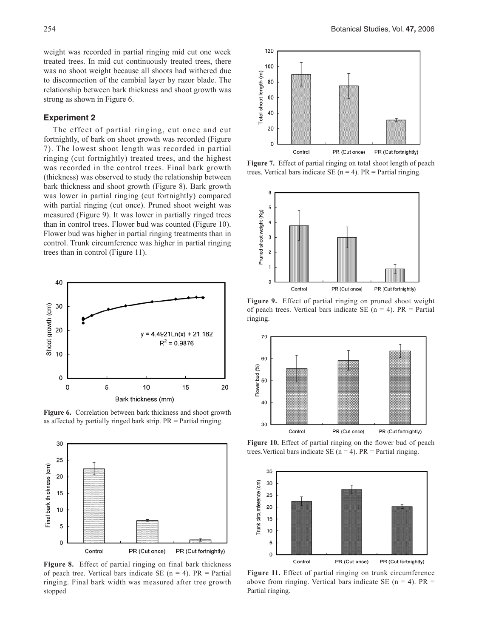weight was recorded in partial ringing mid cut one week treated trees. In mid cut continuously treated trees, there was no shoot weight because all shoots had withered due to disconnection of the cambial layer by razor blade. The relationship between bark thickness and shoot growth was strong as shown in Figure 6.

#### **Experiment 2**

The effect of partial ringing, cut once and cut fortnightly, of bark on shoot growth was recorded (Figure 7). The lowest shoot length was recorded in partial ringing (cut fortnightly) treated trees, and the highest was recorded in the control trees. Final bark growth (thickness) was observed to study the relationship between bark thickness and shoot growth (Figure 8). Bark growth was lower in partial ringing (cut fortnightly) compared with partial ringing (cut once). Pruned shoot weight was measured (Figure 9). It was lower in partially ringed trees than in control trees. Flower bud was counted (Figure 10). Flower bud was higher in partial ringing treatments than in control. Trunk circumference was higher in partial ringing trees than in control (Figure 11).



**Figure 6.** Correlation between bark thickness and shoot growth as affected by partially ringed bark strip. PR = Partial ringing.



**Figure 8.** Effect of partial ringing on final bark thickness of peach tree. Vertical bars indicate SE  $(n = 4)$ . PR = Partial ringing. Final bark width was measured after tree growth stopped



**Figure 7.** Effect of partial ringing on total shoot length of peach trees. Vertical bars indicate SE ( $n = 4$ ). PR = Partial ringing.



**Figure 9.** Effect of partial ringing on pruned shoot weight of peach trees. Vertical bars indicate SE ( $n = 4$ ). PR = Partial ringing.



**Figure 10.** Effect of partial ringing on the flower bud of peach trees. Vertical bars indicate SE ( $n = 4$ ). PR = Partial ringing.



**Figure 11.** Effect of partial ringing on trunk circumference above from ringing. Vertical bars indicate SE ( $n = 4$ ). PR = Partial ringing.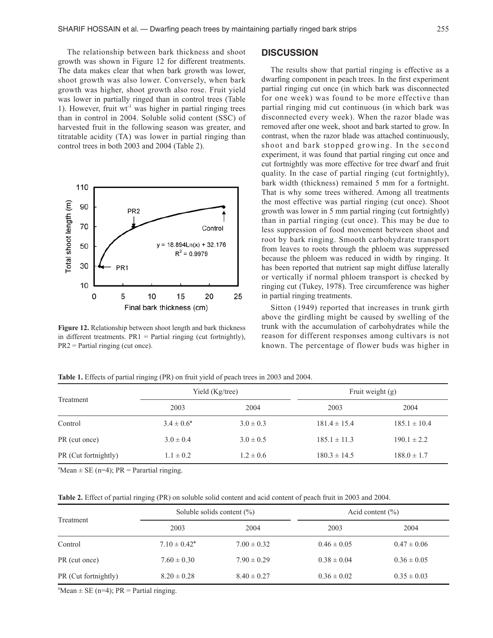The relationship between bark thickness and shoot growth was shown in Figure 12 for different treatments. The data makes clear that when bark growth was lower, shoot growth was also lower. Conversely, when bark growth was higher, shoot growth also rose. Fruit yield was lower in partially ringed than in control trees (Table 1). However, fruit  $wt<sup>-1</sup>$  was higher in partial ringing trees than in control in 2004. Soluble solid content (SSC) of harvested fruit in the following season was greater, and titratable acidity (TA) was lower in partial ringing than control trees in both 2003 and 2004 (Table 2).



**Figure 12.** Relationship between shoot length and bark thickness in different treatments.  $PR1 = Partial$  ringing (cut fortnightly), PR2 = Partial ringing (cut once).

## **DISCUSSION**

The results show that partial ringing is effective as a dwarfing component in peach trees. In the first experiment partial ringing cut once (in which bark was disconnected for one week) was found to be more effective than partial ringing mid cut continuous (in which bark was disconnected every week). When the razor blade was removed after one week, shoot and bark started to grow. In contrast, when the razor blade was attached continuously, shoot and bark stopped growing. In the second experiment, it was found that partial ringing cut once and cut fortnightly was more effective for tree dwarf and fruit quality. In the case of partial ringing (cut fortnightly), bark width (thickness) remained 5 mm for a fortnight. That is why some trees withered. Among all treatments the most effective was partial ringing (cut once). Shoot growth was lower in 5 mm partial ringing (cut fortnightly) than in partial ringing (cut once). This may be due to less suppression of food movement between shoot and root by bark ringing. Smooth carbohydrate transport from leaves to roots through the phloem was suppressed because the phloem was reduced in width by ringing. It has been reported that nutrient sap might diffuse laterally or vertically if normal phloem transport is checked by ringing cut (Tukey, 1978). Tree circumference was higher in partial ringing treatments.

Sitton (1949) reported that increases in trunk girth above the girdling might be caused by swelling of the trunk with the accumulation of carbohydrates while the reason for different responses among cultivars is not known. The percentage of flower buds was higher in

| Treatment            | Yield (Kg/tree) |               | Fruit weight (g) |                  |
|----------------------|-----------------|---------------|------------------|------------------|
|                      | 2003            | 2004          | 2003             | 2004             |
| Control              | $3.4 \pm 0.6^a$ | $3.0 \pm 0.3$ | $181.4 \pm 15.4$ | $185.1 \pm 10.4$ |
| PR (cut once)        | $3.0 \pm 0.4$   | $3.0 \pm 0.5$ | $185.1 \pm 11.3$ | $190.1 \pm 2.2$  |
| PR (Cut fortnightly) | $1.1 \pm 0.2$   | $1.2 \pm 0.6$ | $180.3 \pm 14.5$ | $188.0 \pm 1.7$  |

**Table 1.** Effects of partial ringing (PR) on fruit yield of peach trees in 2003 and 2004.

 ${}^{\text{a}}$ Mean  $\pm$  SE (n=4); PR = Parartial ringing.

| Table 2. Effect of partial ringing (PR) on soluble solid content and acid content of peach fruit in 2003 and 2004. |  |  |
|--------------------------------------------------------------------------------------------------------------------|--|--|
|--------------------------------------------------------------------------------------------------------------------|--|--|

| Treatment            | Soluble solids content $(\% )$ |                 | Acid content $(\% )$ |                 |
|----------------------|--------------------------------|-----------------|----------------------|-----------------|
|                      | 2003                           | 2004            | 2003                 | 2004            |
| Control              | $7.10 \pm 0.42^a$              | $7.00 \pm 0.32$ | $0.46 \pm 0.05$      | $0.47 \pm 0.06$ |
| PR (cut once)        | $7.60 \pm 0.30$                | $7.90 \pm 0.29$ | $0.38 \pm 0.04$      | $0.36 \pm 0.05$ |
| PR (Cut fortnightly) | $8.20 \pm 0.28$                | $8.40 \pm 0.27$ | $0.36 \pm 0.02$      | $0.35 \pm 0.03$ |

 $^{\text{a}}$ Mean  $\pm$  SE (n=4); PR = Partial ringing.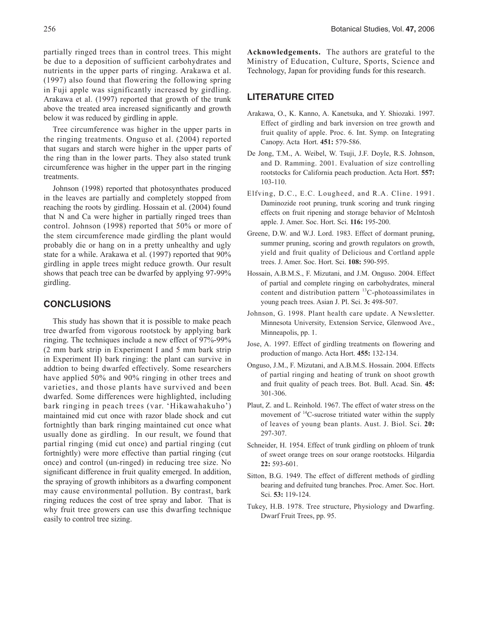partially ringed trees than in control trees. This might be due to a deposition of sufficient carbohydrates and nutrients in the upper parts of ringing. Arakawa et al. (1997) also found that flowering the following spring in Fuji apple was significantly increased by girdling. Arakawa et al. (1997) reported that growth of the trunk above the treated area increased significantly and growth below it was reduced by girdling in apple.

Tree circumference was higher in the upper parts in the ringing treatments. Onguso et al. (2004) reported that sugars and starch were higher in the upper parts of the ring than in the lower parts. They also stated trunk circumference was higher in the upper part in the ringing treatments.

Johnson (1998) reported that photosynthates produced in the leaves are partially and completely stopped from reaching the roots by girdling. Hossain et al. (2004) found that N and Ca were higher in partially ringed trees than control. Johnson (1998) reported that 50% or more of the stem circumference made girdling the plant would probably die or hang on in a pretty unhealthy and ugly state for a while. Arakawa et al. (1997) reported that 90% girdling in apple trees might reduce growth. Our result shows that peach tree can be dwarfed by applying 97-99% girdling.

## **CONCLUSIONS**

This study has shown that it is possible to make peach tree dwarfed from vigorous rootstock by applying bark ringing. The techniques include a new effect of 97%-99% (2 mm bark strip in Experiment I and 5 mm bark strip in Experiment II) bark ringing: the plant can survive in addtion to being dwarfed effectively. Some researchers have applied 50% and 90% ringing in other trees and varieties, and those plants have survived and been dwarfed. Some differences were highlighted, including bark ringing in peach trees (var. 'Hikawahakuho') maintained mid cut once with razor blade shock and cut fortnightly than bark ringing maintained cut once what usually done as girdling. In our result, we found that partial ringing (mid cut once) and partial ringing (cut fortnightly) were more effective than partial ringing (cut once) and control (un-ringed) in reducing tree size. No significant difference in fruit quality emerged. In addition, the spraying of growth inhibitors as a dwarfing component may cause environmental pollution. By contrast, bark ringing reduces the cost of tree spray and labor. That is why fruit tree growers can use this dwarfing technique easily to control tree sizing.

**Acknowledgements.** The authors are grateful to the Ministry of Education, Culture, Sports, Science and Technology, Japan for providing funds for this research.

## **LITERATURE CITED**

- Arakawa, O., K. Kanno, A. Kanetsuka, and Y. Shiozaki. 1997. Effect of girdling and bark inversion on tree growth and fruit quality of apple. Proc. 6. Int. Symp. on Integrating Canopy. Acta Hort. **451:** 579-586.
- De Jong, T.M., A. Weibel, W. Tsuji, J.F. Doyle, R.S. Johnson, and D. Ramming. 2001. Evaluation of size controlling rootstocks for California peach production. Acta Hort. **557:**  103-110.
- Elfving, D.C., E.C. Lougheed, and R.A. Cline. 1991. Daminozide root pruning, trunk scoring and trunk ringing effects on fruit ripening and storage behavior of McIntosh apple. J. Amer. Soc. Hort. Sci. **116:** 195-200.
- Greene, D.W. and W.J. Lord. 1983. Effect of dormant pruning, summer pruning, scoring and growth regulators on growth, yield and fruit quality of Delicious and Cortland apple trees. J. Amer. Soc. Hort. Sci. **108:** 590-595.
- Hossain, A.B.M.S., F. Mizutani, and J.M. Onguso. 2004. Effect of partial and complete ringing on carbohydrates, mineral content and distribution pattern 13C-photoassimilates in young peach trees. Asian J. Pl. Sci. **3:** 498-507.
- Johnson, G. 1998. Plant health care update. A Newsletter. Minnesota University, Extension Service, Glenwood Ave., Minneapolis, pp. 1.
- Jose, A. 1997. Effect of girdling treatments on flowering and production of mango. Acta Hort. **455:** 132-134.
- Onguso, J.M., F. Mizutani, and A.B.M.S. Hossain. 2004. Effects of partial ringing and heating of trunk on shoot growth and fruit quality of peach trees. Bot. Bull. Acad. Sin. **45:**  301-306.
- Plaut, Z. and L. Reinhold. 1967. The effect of water stress on the movement of  $^{14}$ C-sucrose tritiated water within the supply of leaves of young bean plants. Aust. J. Biol. Sci. **20:** 297-307.
- Schneider, H. 1954. Effect of trunk girdling on phloem of trunk of sweet orange trees on sour orange rootstocks. Hilgardia **22:** 593-601.
- Sitton, B.G. 1949. The effect of different methods of girdling bearing and defruited tung branches. Proc. Amer. Soc. Hort. Sci. **53:** 119-124.
- Tukey, H.B. 1978. Tree structure, Physiology and Dwarfing. Dwarf Fruit Trees, pp. 95.